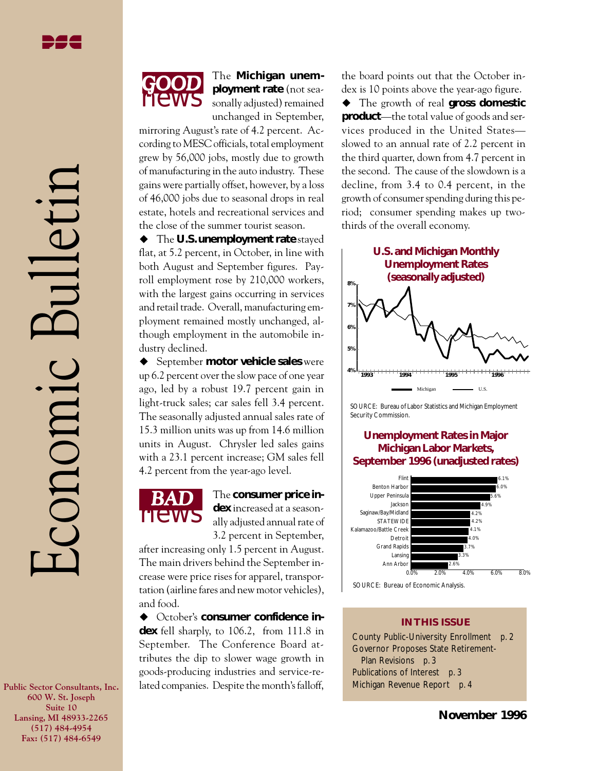Economic Bulletin

conomic



The **Michigan unemployment rate** (not seasonally adjusted) remained unchanged in September,

mirroring August's rate of 4.2 percent. According to MESC officials, total employment grew by 56,000 jobs, mostly due to growth of manufacturing in the auto industry. These gains were partially offset, however, by a loss of 46,000 jobs due to seasonal drops in real estate, hotels and recreational services and the close of the summer tourist season.

◆ The **U.S. unemployment rate** stayed flat, at 5.2 percent, in October, in line with both August and September figures. Payroll employment rose by 210,000 workers, with the largest gains occurring in services and retail trade. Overall, manufacturing employment remained mostly unchanged, although employment in the automobile industry declined.

◆ September **motor vehicle sales** were up 6.2 percent over the slow pace of one year ago, led by a robust 19.7 percent gain in light-truck sales; car sales fell 3.4 percent. The seasonally adjusted annual sales rate of 15.3 million units was up from 14.6 million units in August. Chrysler led sales gains with a 23.1 percent increase; GM sales fell 4.2 percent from the year-ago level.



The **consumer** price in**dex** increased at a seasonally adjusted annual rate of 3.2 percent in September,

after increasing only 1.5 percent in August. The main drivers behind the September increase were price rises for apparel, transportation (airline fares and new motor vehicles), and food.

◆ October's **consumer confidence index** fell sharply, to 106.2, from 111.8 in September. The Conference Board attributes the dip to slower wage growth in goods-producing industries and service-related companies. Despite the month's falloff,

the board points out that the October index is 10 points above the year-ago figure.

u The growth of real **gross domestic product**—the total value of goods and services produced in the United States slowed to an annual rate of 2.2 percent in the third quarter, down from 4.7 percent in the second. The cause of the slowdown is a decline, from 3.4 to 0.4 percent, in the growth of consumer spending during this period; consumer spending makes up twothirds of the overall economy.



SOURCE: Bureau of Labor Statistics and Michigan Employment Security Commission.

### **Unemployment Rates in Major Michigan Labor Markets, September 1996 (unadjusted rates)**



#### SOURCE: Bureau of Economic Analysis.

#### **IN THIS ISSUE**

County Public-University Enrollment *p. 2* Governor Proposes State Retirement- Plan Revisions *p. 3* Publications of Interest *p. 3* Michigan Revenue Report *p. 4*

**Public Sector Consultants, Inc. 600 W. St. Joseph Suite 10 Lansing, MI 48933-2265 (517) 484-4954 Fax: (517) 484-6549**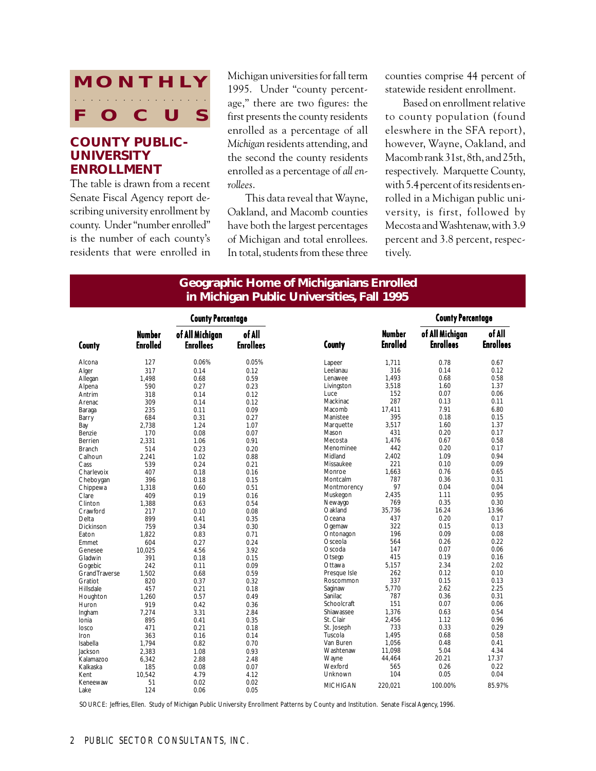# **MONTHLY** FOC aaaa aaaaaaaaaaaaa

## **COUNTY PUBLIC-UNIVERSITY ENROLLMENT**

The table is drawn from a recent Senate Fiscal Agency report describing university enrollment by county. Under "number enrolled" is the number of each county's residents that were enrolled in Michigan universities for fall term 1995. Under "county percentage," there are two figures: the first presents the county residents enrolled as a percentage of all *Michigan* residents attending, and the second the county residents enrolled as a percentage of *all enrollees*.

This data reveal that Wayne, Oakland, and Macomb counties have both the largest percentages of Michigan and total enrollees. In total, students from these three

counties comprise 44 percent of statewide resident enrollment.

Based on enrollment relative to county population (found eleswhere in the SFA report), however, Wayne, Oakland, and Macomb rank 31st, 8th, and 25th, respectively. Marquette County, with 5.4 percent of its residents enrolled in a Michigan public university, is first, followed by Mecosta and Washtenaw, with 3.9 percent and 3.8 percent, respectively.

## **Geographic Home of Michiganians Enrolled in Michigan Public Universities, Fall 1995**

|                       |                           | <b>County Percentage</b>            |                            |                 |                                  | <b>County Percentage</b>            |                            |
|-----------------------|---------------------------|-------------------------------------|----------------------------|-----------------|----------------------------------|-------------------------------------|----------------------------|
| County                | Number<br><b>Enrolled</b> | of All Michigan<br><b>Enrollees</b> | of All<br><b>Enrollees</b> | County          | <b>Number</b><br><b>Enrolled</b> | of All Michigan<br><b>Enrollees</b> | of All<br><b>Enrollees</b> |
| Alcona                | 127                       | 0.06%                               | 0.05%                      | Lapeer          | 1,711                            | 0.78                                | 0.67                       |
| Alger                 | 317                       | 0.14                                | 0.12                       | Leelanau        | 316                              | 0.14                                | 0.12                       |
| Allegan               | 1,498                     | 0.68                                | 0.59                       | Lenawee         | 1,493                            | 0.68                                | 0.58                       |
| Alpena                | 590                       | 0.27                                | 0.23                       | Livingston      | 3,518                            | 1.60                                | 1.37                       |
| Antrim                | 318                       | 0.14                                | 0.12                       | Luce            | 152                              | 0.07                                | 0.06                       |
| Arenac                | 309                       | 0.14                                | 0.12                       | Mackinac        | 287                              | 0.13                                | 0.11                       |
| Baraga                | 235                       | 0.11                                | 0.09                       | Macomb          | 17,411                           | 7.91                                | 6.80                       |
| Barry                 | 684                       | 0.31                                | 0.27                       | Manistee        | 395                              | 0.18                                | 0.15                       |
| Bay                   | 2.738                     | 1.24                                | 1.07                       | Marquette       | 3,517                            | 1.60                                | 1.37                       |
| Benzie                | 170                       | 0.08                                | 0.07                       | Mason           | 431                              | 0.20                                | 0.17                       |
| Berrien               | 2,331                     | 1.06                                | 0.91                       | Mecosta         | 1,476                            | 0.67                                | 0.58                       |
| <b>Branch</b>         | 514                       | 0.23                                | 0.20                       | Menominee       | 442                              | 0.20                                | 0.17                       |
| Calhoun               | 2,241                     | 1.02                                | 0.88                       | Midland         | 2,402                            | 1.09                                | 0.94                       |
| Cass                  | 539                       | 0.24                                | 0.21                       | Missaukee       | 221                              | 0.10                                | 0.09                       |
| Charlevoix            | 407                       | 0.18                                | 0.16                       | Monroe          | 1,663                            | 0.76                                | 0.65                       |
| Cheboygan             | 396                       | 0.18                                | 0.15                       | Montcalm        | 787                              | 0.36                                | 0.31                       |
| Chippewa              | 1,318                     | 0.60                                | 0.51                       | Montmorency     | 97                               | 0.04                                | 0.04                       |
| Clare                 | 409                       | 0.19                                | 0.16                       | Muskegon        | 2,435                            | 1.11                                | 0.95                       |
| Clinton               | 1,388                     | 0.63                                | 0.54                       | Newaygo         | 769                              | 0.35                                | 0.30                       |
| Crawford              | 217                       | 0.10                                | 0.08                       | Oakland         | 35,736                           | 16.24                               | 13.96                      |
| Delta                 | 899                       | 0.41                                | 0.35                       | Oceana          | 437                              | 0.20                                | 0.17                       |
| <b>Dickinson</b>      | 759                       | 0.34                                | 0.30                       | Ogemaw          | 322                              | 0.15                                | 0.13                       |
| Eaton                 | 1.822                     | 0.83                                | 0.71                       | Ontonagon       | 196                              | 0.09                                | 0.08                       |
| Emmet                 | 604                       | 0.27                                | 0.24                       | Osceola         | 564                              | 0.26                                | 0.22                       |
| Genesee               | 10.025                    | 4.56                                | 3.92                       | Oscoda          | 147                              | 0.07                                | 0.06                       |
| Gladwin               | 391                       | 0.18                                | 0.15                       | Otsego          | 415                              | 0.19                                | 0.16                       |
| Gogebic               | 242                       | 0.11                                | 0.09                       | Ottawa          | 5,157                            | 2.34                                | 2.02                       |
| <b>Grand Traverse</b> | 1,502                     | 0.68                                | 0.59                       | Presque Isle    | 262                              | 0.12                                | 0.10                       |
| Gratiot               | 820                       | 0.37                                | 0.32                       | Roscommon       | 337                              | 0.15                                | 0.13                       |
| Hillsdale             | 457                       | 0.21                                | 0.18                       | Saginaw         | 5,770                            | 2.62                                | 2.25                       |
| Houghton              | 1,260                     | 0.57                                | 0.49                       | Sanilac         | 787                              | 0.36                                | 0.31                       |
| Huron                 | 919                       | 0.42                                | 0.36                       | Schoolcraft     | 151                              | 0.07                                | 0.06                       |
| Ingham                | 7,274                     | 3.31                                | 2.84                       | Shiawassee      | 1,376                            | 0.63                                | 0.54                       |
| Ionia                 | 895                       | 0.41                                | 0.35                       | St. Clair       | 2,456                            | 1.12                                | 0.96                       |
| losco                 | 471                       | 0.21                                | 0.18                       | St. Joseph      | 733                              | 0.33                                | 0.29                       |
| Iron                  | 363                       | 0.16                                | 0.14                       | Tuscola         | 1,495                            | 0.68                                | 0.58                       |
| Isabella              | 1.794                     | 0.82                                | 0.70                       | Van Buren       | 1,056                            | 0.48                                | 0.41                       |
| Jackson               | 2,383                     | 1.08                                | 0.93                       | Washtenaw       | 11,098                           | 5.04                                | 4.34                       |
| Kalamazoo             | 6,342                     | 2.88                                | 2.48                       | Wayne           | 44.464                           | 20.21                               | 17.37                      |
| Kalkaska              | 185                       | 0.08                                | 0.07                       | Wexford         | 565                              | 0.26                                | 0.22                       |
| Kent                  | 10,542                    | 4.79                                | 4.12                       | Unknown         | 104                              | 0.05                                | 0.04                       |
| Keneewaw              | 51                        | 0.02                                | 0.02                       | <b>MICHIGAN</b> | 220,021                          | 100.00%                             | 85.97%                     |
| Lake                  | 124                       | 0.06                                | 0.05                       |                 |                                  |                                     |                            |

SOURCE: Jeffries, Ellen. Study of Michigan Public University Enrollment Patterns by County and Institution. Senate Fiscal Agency, 1996.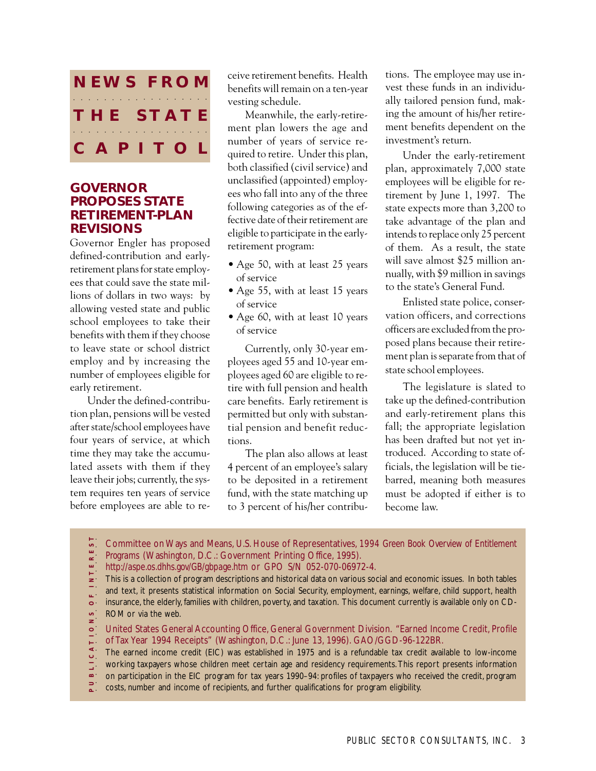

### **GOVERNOR PROPOSES STATE RETIREMENT-PLAN REVISIONS**

Governor Engler has proposed defined-contribution and earlyretirement plans for state employees that could save the state millions of dollars in two ways: by allowing vested state and public school employees to take their benefits with them if they choose to leave state or school district employ and by increasing the number of employees eligible for early retirement.

Under the defined-contribution plan, pensions will be vested after state/school employees have four years of service, at which time they may take the accumulated assets with them if they leave their jobs; currently, the system requires ten years of service before employees are able to re-

ceive retirement benefits. Health benefits will remain on a ten-year vesting schedule.

Meanwhile, the early-retirement plan lowers the age and number of years of service required to retire. Under this plan, both classified (civil service) and unclassified (appointed) employees who fall into any of the three following categories as of the effective date of their retirement are eligible to participate in the earlyretirement program:

- Age 50, with at least 25 years of service
- Age 55, with at least 15 years of service
- Age 60, with at least 10 years of service

Currently, only 30-year employees aged 55 and 10-year employees aged 60 are eligible to retire with full pension and health care benefits. Early retirement is permitted but only with substantial pension and benefit reductions.

The plan also allows at least 4 percent of an employee's salary to be deposited in a retirement fund, with the state matching up to 3 percent of his/her contributions. The employee may use invest these funds in an individually tailored pension fund, making the amount of his/her retirement benefits dependent on the investment's return.

Under the early-retirement plan, approximately 7,000 state employees will be eligible for retirement by June 1, 1997. The state expects more than 3,200 to take advantage of the plan and intends to replace only 25 percent of them. As a result, the state will save almost \$25 million annually, with \$9 million in savings to the state's General Fund.

Enlisted state police, conservation officers, and corrections officers are excluded from the proposed plans because their retirement plan is separate from that of state school employees.

The legislature is slated to take up the defined-contribution and early-retirement plans this fall; the appropriate legislation has been drafted but not yet introduced. According to state officials, the legislation will be tiebarred, meaning both measures must be adopted if either is to become law.

Committee on Ways and Means, U.S. House of Representatives, *1994 Green Book Overview of Entitlement*

- *Programs* (Washington, D.C.: Government Printing Office, 1995).
- *http://aspe.os.dhhs.gov/GB/gbpage.htm* or GPO S/N 052-070-06972-4.
- This is a collection of program descriptions and historical data on various social and economic issues. In both tables
- and text, it presents statistical information on Social Security, employment, earnings, welfare, child support, health  $\omega^{(1)}$
- insurance, the elderly, families with children, poverty, and taxation. This document currently is available only on CD-
- $\frac{1}{5}$ ROM or via the web.
- **P U B L I C A T I O N S O F I N T E R E S T**aaaaaaaaaaaaaaaaaaaa ILICATION United States General Accounting Office, General Government Division. "Earned Income Credit, Profile
- of Tax Year 1994 Receipts" (Washington, D.C.: June 13, 1996). GAO/GGD-96-122BR.
- The earned income credit (EIC) was established in 1975 and is a refundable tax credit available to low-income
- working taxpayers whose children meet certain age and residency requirements. This report presents information
- on participation in the EIC program for tax years 1990–94: profiles of taxpayers who received the credit, program
- $\frac{1}{2}$  costs, number and income of recipients, and further qualifications for program eligibility.